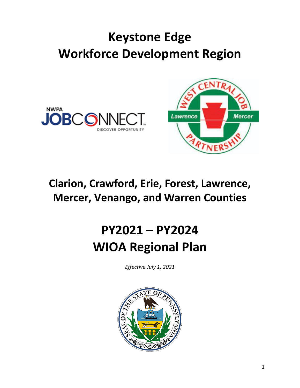# **Keystone Edge Workforce Development Region**





### **Clarion, Crawford, Erie, Forest, Lawrence, Mercer, Venango, and Warren Counties**

# **PY2021 – PY2024 WIOA Regional Plan**

*Effective July 1, 2021*

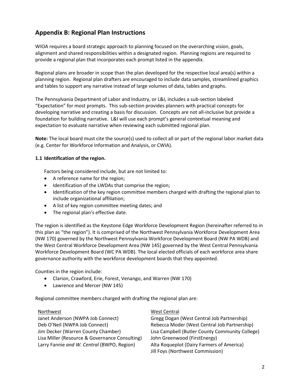### **Appendix B: Regional Plan Instructions**

WIOA requires a board strategic approach to planning focused on the overarching vision, goals, alignment and shared responsibilities within a designated region. Planning regions are required to provide a regional plan that incorporates each prompt listed in the appendix.

Regional plans are broader in scope than the plan developed for the respective local area(s) within a planning region. Regional plan drafters are encouraged to include data samples, streamlined graphics and tables to support any narrative instead of large volumes of data, tables and graphs.

The Pennsylvania Department of Labor and Industry, or L&I, includes a sub-section labeled "Expectation" for most prompts. This sub-section provides planners with practical concepts for developing narrative and creating a basis for discussion. Concepts are not all-inclusive but provide a foundation for building narrative. L&I will use each prompt's general contextual meaning and expectation to evaluate narrative when reviewing each submitted regional plan.

**Note:** The local board must cite the source(s) used to collect all or part of the regional labor market data (e.g. Center for Workforce Information and Analysis, or CWIA).

#### **1.1 Identification of the region.**

Factors being considered include, but are not limited to:

- A reference name for the region;
- Identification of the LWDAs that comprise the region;
- Identification of the key region committee members charged with drafting the regional plan to include organizational affiliation;
- A list of key region committee meeting dates; and
- The regional plan's effective date.

The region is identified as the Keystone Edge Workforce Development Region (hereinafter referred to in this plan as "the region"). It is comprised of the Northwest Pennsylvania Workforce Development Area (NW 170) governed by the Northwest Pennsylvania Workforce Development Board (NW PA WDB) and the West Central Workforce Development Area (NW 145) governed by the West Central Pennsylvania Workforce Development Board (WC PA WDB). The local elected officials of each workforce area share governance authority with the workforce development boards that they appointed.

Counties in the region include:

- Clarion, Crawford, Erie, Forest, Venango, and Warren (NW 170)
- Lawrence and Mercer (NW 145)

Regional committee members charged with drafting the regional plan are:

Janet Anderson (NWPA Job Connect) Gregg Dogan (West Central Job Partnership) Deb O'Neil (NWPA Job Connect) Rebecca Moder (West Central Job Partnership) Lisa Miller (Resource & Governance Consulting) John Greenwood (FirstEnergy) Larry Fannie *and W. Central* (BWPO, Region) Alta Roqueplot (Dairy Farmers of America)

#### Northwest **West Central**

Jim Decker (Warren County Chamber) Lisa Campbell (Butler County Community College) Jill Foys (Northwest Commission)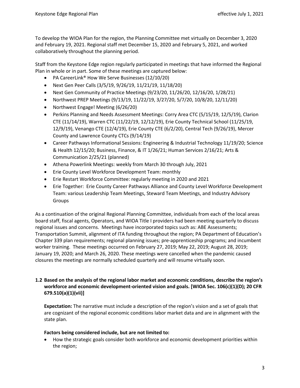To develop the WIOA Plan for the region, the Planning Committee met virtually on December 3, 2020 and February 19, 2021. Regional staff met December 15, 2020 and February 5, 2021, and worked collaboratively throughout the planning period.

Staff from the Keystone Edge region regularly participated in meetings that have informed the Regional Plan in whole or in part. Some of these meetings are captured below:

- PA CareerLink® How We Serve Businesses (12/10/20)
- Next Gen Peer Calls (3/5/19, 9/26/19, 11/21/19, 11/18/20)
- Next Gen Community of Practice Meetings (9/23/20, 11/26/20, 12/16/20, 1/28/21)
- Northwest PREP Meetings (9/13/19, 11/22/19, 3/27/20, 5/7/20, 10/8/20, 12/11/20)
- Northwest Engage! Meeting (6/26/20)
- Perkins Planning and Needs Assessment Meetings: Corry Area CTC (5/15/19, 12/5/19), Clarion CTE (11/14/19), Warren CTC (11/22/19, 12/12/19), Erie County Technical School (11/25/19, 12/9/19), Venango CTE (12/4/19), Erie County CTE (6/2/20), Central Tech (9/26/19), Mercer County and Lawrence County CTCs (9/14/19)
- Career Pathways Informational Sessions: Engineering & Industrial Technology 11/19/20; Science & Health 12/15/20; Business, Finance, & IT 1/26/21; Human Services 2/16/21; Arts & Communication 2/25/21 (planned)
- Athena Powerlink Meetings: weekly from March 30 through July, 2021
- Erie County Level Workforce Development Team: monthly
- Erie Restart Workforce Committee: regularly meeting in 2020 and 2021
- Erie Together: Erie County Career Pathways Alliance and County Level Workforce Development Team: various Leadership Team Meetings, Steward Team Meetings, and Industry Advisory Groups

As a continuation of the original Regional Planning Committee, individuals from each of the local areas board staff, fiscal agents, Operators, and WIOA Title I providers had been meeting quarterly to discuss regional issues and concerns. Meetings have incorporated topics such as: ABE Assessments; Transportation Summit, alignment of ITA funding throughout the region; PA Department of Education's Chapter 339 plan requirements; regional planning issues; pre-apprenticeship programs; and incumbent worker training. These meetings occurred on February 27, 2019; May 22, 2019; August 28, 2019; January 19, 2020; and March 26, 2020. These meetings were cancelled when the pandemic caused closures the meetings are normally scheduled quarterly and will resume virtually soon.

#### **1.2 Based on the analysis of the regional labor market and economic conditions, describe the region's workforce and economic development-oriented vision and goals. [WIOA Sec. 106(c)(1)(D); 20 CFR 679.510(a)(1)(vii)]**

**Expectation:** The narrative must include a description of the region's vision and a set of goals that are cognizant of the regional economic conditions labor market data and are in alignment with the state plan.

#### **Factors being considered include, but are not limited to:**

• How the strategic goals consider both workforce and economic development priorities within the region;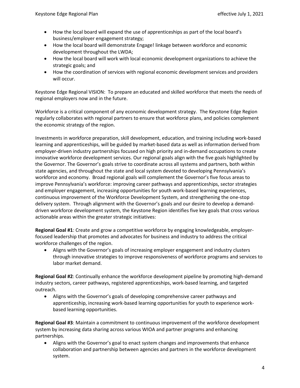- How the local board will expand the use of apprenticeships as part of the local board's business/employer engagement strategy;
- How the local board will demonstrate Engage! linkage between workforce and economic development throughout the LWDA;
- How the local board will work with local economic development organizations to achieve the strategic goals; and
- How the coordination of services with regional economic development services and providers will occur.

Keystone Edge Regional VISION: To prepare an educated and skilled workforce that meets the needs of regional employers now and in the future.

Workforce is a critical component of any economic development strategy. The Keystone Edge Region regularly collaborates with regional partners to ensure that workforce plans, and policies complement the economic strategy of the region.

Investments in workforce preparation, skill development, education, and training including work-based learning and apprenticeships, will be guided by market-based data as well as information derived from employer-driven industry partnerships focused on high priority and in-demand occupations to create innovative workforce development services. Our regional goals align with the five goals highlighted by the Governor. The Governor's goals strive to coordinate across all systems and partners, both within state agencies, and throughout the state and local system devoted to developing Pennsylvania's workforce and economy. Broad regional goals will complement the Governor's five focus areas to improve Pennsylvania's workforce: improving career pathways and apprenticeships, sector strategies and employer engagement, increasing opportunities for youth work-based learning experiences, continuous improvement of the Workforce Development System, and strengthening the one-stop delivery system. Through alignment with the Governor's goals and our desire to develop a demanddriven workforce development system, the Keystone Region identifies five key goals that cross various actionable areas within the greater strategic initiatives:

**Regional Goal #1**: Create and grow a competitive workforce by engaging knowledgeable, employerfocused leadership that promotes and advocates for business and industry to address the critical workforce challenges of the region.

• Aligns with the Governor's goals of increasing employer engagement and industry clusters through innovative strategies to improve responsiveness of workforce programs and services to labor market demand.

**Regional Goal #2**: Continually enhance the workforce development pipeline by promoting high-demand industry sectors, career pathways, registered apprenticeships, work-based learning, and targeted outreach.

• Aligns with the Governor's goals of developing comprehensive career pathways and apprenticeship, increasing work-based learning opportunities for youth to experience workbased learning opportunities.

**Regional Goal #3**: Maintain a commitment to continuous improvement of the workforce development system by increasing data sharing across various WIOA and partner programs and enhancing partnerships.

• Aligns with the Governor's goal to enact system changes and improvements that enhance collaboration and partnership between agencies and partners in the workforce development system.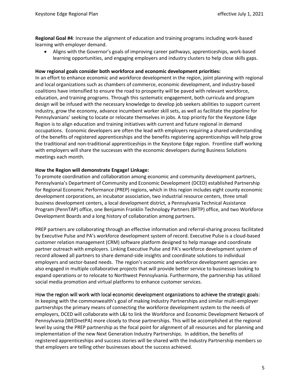**Regional Goal #4**: Increase the alignment of education and training programs including work-based learning with employer demand.

• Aligns with the Governor's goals of improving career pathways, apprenticeships, work-based learning opportunities, and engaging employers and industry clusters to help close skills gaps.

#### **How regional goals consider both workforce and economic development priorities:**

In an effort to enhance economic and workforce development in the region, joint planning with regional and local organizations such as chambers of commerce, economic development, and industry-based coalitions have intensified to ensure the road to prosperity will be paved with relevant workforce, education, and training programs. Through this systematic engagement, both curricula and program design will be infused with the necessary knowledge to develop job seekers abilities to support current industry, grow the economy, advance incumbent worker skill sets, as well as facilitate the pipeline for Pennsylvanians' seeking to locate or relocate themselves in jobs. A top priority for the Keystone Edge Region is to align education and training initiatives with current and future regional in demand occupations. Economic developers are often the lead with employers requiring a shared understanding of the benefits of registered apprenticeships and the benefits registering apprenticeships will help grow the traditional and non-traditional apprenticeships in the Keystone Edge region. Frontline staff working with employers will share the successes with the economic developers during Business Solutions meetings each month.

#### **How the Region will demonstrate Engage! Linkage:**

To promote coordination and collaboration among economic and community development partners, Pennsylvania's Department of Community and Economic Development (DCED) established Partnership for Regional Economic Performance (PREP) regions, which in this region includes eight county economic development corporations, an incubator association, two industrial resource centers, three small business development centers, a local development district, a Pennsylvania Technical Assistance Program (PennTAP) office, one Benjamin Franklin Technology Partners (BFTP) office, and two Workforce Development Boards and a long history of collaboration among partners.

PREP partners are collaborating through an effective information and referral-sharing process facilitated by Executive Pulse and PA's workforce development system of record. Executive Pulse is a cloud-based customer relation management (CRM) software platform designed to help manage and coordinate partner outreach with employers. Linking Executive Pulse and PA's workforce development system of record allowed all partners to share demand-side insights and coordinate solutions to individual employers and sector-based needs. The region's economic and workforce development agencies are also engaged in multiple collaborative projects that will provide better service to businesses looking to expand operations or to relocate to Northwest Pennsylvania. Furthermore, the partnership has utilized social media promotion and virtual platforms to enhance customer services.

#### How the region will work with local economic development organizations to achieve the strategic goals:

In keeping with the commonwealth's goal of making Industry Partnerships and similar multi-employer partnerships the primary means of connecting the workforce development system to the needs of employers, DCED will collaborate with L&I to link the Workforce and Economic Development Network of Pennsylvania (WEDnetPA) more closely to those partnerships. This will be accomplished at the regional level by using the PREP partnership as the focal point for alignment of all resources and for planning and implementation of the new Next Generation Industry Partnerships. In addition, the benefits of registered apprenticeships and success stories will be shared with the Industry Partnership members so that employers are telling other businesses about the success achieved.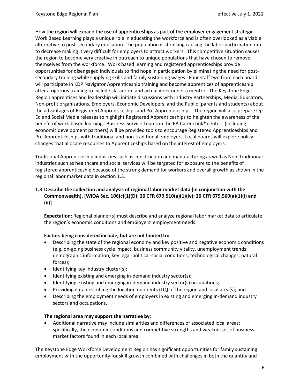How the region will expand the use of apprenticeships as part of the employer engagement strategy:

Work Based Learning plays a unique role in educating the workforce and is often overlooked as a viable alternative to post-secondary education. The population is shrinking causing the labor participation rate to decrease making it very difficult for employers to attract workers. This competitive situation causes the region to become very creative in outreach to unique populations that have chosen to remove themselves from the workforce. Work based learning and registered apprenticeships provide opportunities for disengaged individuals to find hope in participation by eliminating the need for postsecondary training while supplying skills and family sustaining wages. Four staff two from each board will participate in KDP Navigator Apprenticeship training and become apprentices of apprenticeship after a rigorous training to include classroom and actual work under a mentor. The Keystone Edge Region apprentices and leadership will initiate discussions with Industry Partnerships, Media, Educators, Non-profit organizations, Employers, Economic Developers, and the Public (parents and students) about the advantages of Registered Apprenticeships and Pre-Apprenticeships. The region will also prepare Op-Ed and Social Media releases to highlight Registered Apprenticeships to heighten the awareness of the benefit of work-based learning. Business Service Teams in the PA CareerLink® centers (including economic development partners) will be provided tools to encourage Registered Apprenticeships and Pre-Apprenticeships with traditional and non-traditional employers. Local boards will explore policy changes that allocate resources to Apprenticeships based on the interest of employers.

Traditional Apprenticeship industries such as construction and manufacturing as well as Non-Traditional industries such as healthcare and social services will be targeted for exposure to the benefits of registered apprenticeship because of the strong demand for workers and overall growth as shown in the regional labor market data in section 1.3.

#### **1.3 Describe the collection and analysis of regional labor market data (in conjunction with the Commonwealth). [WIOA Sec. 106(c)(1)(D); 20 CFR 679.510(a)(1)(iv); 20 CFR 679.560(a)(1)(i) and (ii)]**

**Expectation:** Regional planner(s) must describe and analyze regional labor market data to articulate the region's economic conditions and employers' employment needs.

#### **Factors being considered include, but are not limited to:**

- Describing the state of the regional economy and key positive and negative economic conditions (e.g. on-going business cycle impact, business community vitality, unemployment trends; demographic information; key legal-political-social conditions; technological changes; natural forces);
- Identifying key industry cluster(s);
- Identifying existing and emerging in-demand industry sector(s);
- Identifying existing and emerging in-demand industry sector(s) occupations;
- Providing data describing the location quotients (LQ) of the region and local area(s); and
- Describing the employment needs of employers in existing and emerging in-demand industry sectors and occupations.

#### **The regional area may support the narrative by:**

• Additional narrative may include similarities and differences of associated local areas: specifically, the economic conditions and competitive strengths and weaknesses of business market factors found in each local area.

The Keystone Edge Workforce Development Region has significant opportunities for family sustaining employment with the opportunity for skill growth combined with challenges in both the quantity and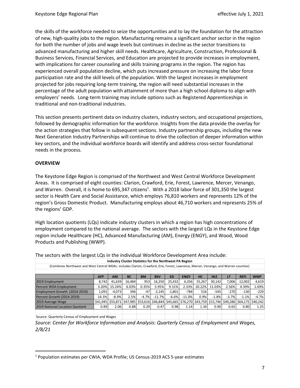the skills of the workforce needed to seize the opportunities and to lay the foundation for the attraction of new, high-quality jobs to the region. Manufacturing remains a significant anchor sector in the region for both the number of jobs and wage levels but continues in decline as the sector transitions to advanced manufacturing and higher skill needs. Healthcare, Agriculture, Construction, Professional & Business Services, Financial Services, and Education are projected to provide increases in employment, with implications for career counseling and skills training programs in the region. The region has experienced overall population decline, which puts increased pressure on increasing the labor force participation rate and the skill levels of the population. With the largest increases in employment projected for jobs requiring long-term training, the region will need substantial increases in the percentage of the adult population with attainment of more than a high school diploma to align with employers' needs. Long-term training may include options such as Registered Apprenticeships in traditional and non-traditional industries.

This section presents pertinent data on industry clusters, industry sectors, and occupational projections, followed by demographic information for the workforce. Insights from the data provide the overlay for the action strategies that follow in subsequent sections. Industry partnership groups, including the new Next Generation Industry Partnerships will continue to drive the collection of deeper information within key sectors, and the individual workforce boards will identify and address cross-sector foundational needs in the process.

#### **OVERVIEW**

The Keystone Edge Region is comprised of the Northwest and West Central Workforce Development Areas. It is comprised of eight counties: Clarion, Crawford, Erie, Forest, Lawrence, Mercer, Venango, and Warren. Overall, it is home to 695,347 citizens<sup>1</sup>. With a 2018 labor force of 301,350 the largest sector is Health Care and Social Assistance, which employs 76,810 workers and represents 12% of the region's Gross Domestic Product. Manufacturing employs about 46,710 workers and represents 25% of the regions' GDP.

High location quotients (LQs) indicate industry clusters in which a region has high concentrations of employment compared to the national average. The sectors with the largest LQs in the Keystone Edge region include Healthcare (HC), Advanced Manufacturing (AM), Energy (ENGY), and Wood, Wood Products and Publishing (WWP).

| The sectors with the largest LQs in the individual Workforce Development Area include:                                               |            |           |           |           |            |           |             |           |            |         |             |                                                                                                                            |
|--------------------------------------------------------------------------------------------------------------------------------------|------------|-----------|-----------|-----------|------------|-----------|-------------|-----------|------------|---------|-------------|----------------------------------------------------------------------------------------------------------------------------|
| <b>Industry Cluster Statistics for the Northwest PA Region</b>                                                                       |            |           |           |           |            |           |             |           |            |         |             |                                                                                                                            |
| (Combines Northwest and West Central WDAs: includes Clarion, Crawford, Erie, Forest, Lawrence, Mercer, Venango, and Warren counties) |            |           |           |           |            |           |             |           |            |         |             |                                                                                                                            |
|                                                                                                                                      |            |           |           |           |            |           |             |           |            |         |             |                                                                                                                            |
|                                                                                                                                      | <b>AFP</b> | <b>AM</b> | <b>BC</b> | <b>BM</b> | <b>BSV</b> | <b>ED</b> | <b>ENGY</b> | <b>HC</b> | <b>HLE</b> | LT      | <b>REFI</b> | <b>WWP</b>                                                                                                                 |
| 2019 Employment                                                                                                                      | 8.742      | 41,639    | 16,484    | 953       | 16,250     | 25,432    | 6,356       | 55.267    | 30.142     | 7,006   | 12,002      | 4,619                                                                                                                      |
| Percent WDA Employment                                                                                                               | 3.20%      | 15.24%    | 6.03%     | 0.35%     | 5.95%      | 9.31%     | 2.33%       | 20.22%    | 11.03%     | 2.56%   | 4.39%       | 1.69%                                                                                                                      |
| Employment Growth (2014-2019)                                                                                                        | 1,091      | $-4,073$  | 396       | $-47$     | $-2,145$   | $-1.801$  | $-784$      | 516       | $-545$     | $-270$  | $-130$      | $-229$                                                                                                                     |
| Percent Growth (2014-2019)                                                                                                           | 14.3%      | $-8.9%$   | 2.5%      | $-4.7%$   | $-11.7%$   | $-6.6%$   | $-11.0%$    | 0.9%      | $-1.8%$    | $-3.7%$ | $-1.1%$     | $-4.7%$                                                                                                                    |
| 2019 Average Wage                                                                                                                    |            |           |           |           |            |           |             |           |            |         |             | \$41,945 (\$64,175 (\$64,175 (\$42,945 (\$53,616 (\$53,616 )\$46,844 (\$45,665 (\$56,270 )\$43,759 (\$15,746 )\$49,286 (\$ |
| 2019 National Location Quotient                                                                                                      | 0.89       | 2.06      | 0.88      | 0.29      | 0.47       | 0.98      | 1.14        | 1.34      | 0.90       | 0.65    | 0.80        | 1.25                                                                                                                       |
|                                                                                                                                      |            |           |           |           |            |           |             |           |            |         |             |                                                                                                                            |

| The sectors with the largest LQs in the individual Workforce Development Area include: |  |
|----------------------------------------------------------------------------------------|--|
|----------------------------------------------------------------------------------------|--|

Source: Quarterly Census of Employment and Wages

*Source: Center for Workforce Information and Analysis: Quarterly Census of Employment and Wages, 2/8/21*

<sup>1</sup> Population estimates per CWIA, WDA Profile; US Census-2019 ACS 5-year estimates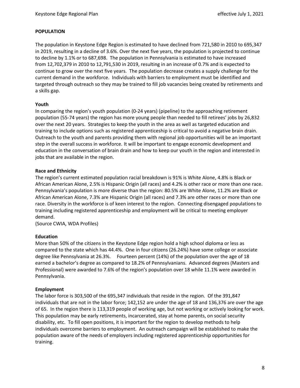#### **POPULATION**

The population in Keystone Edge Region is estimated to have declined from 721,580 in 2010 to 695,347 in 2019, resulting in a decline of 3.6%. Over the next five years, the population is projected to continue to decline by 1.1% or to 687,698. The population in Pennsylvania is estimated to have increased from 12,702,379 in 2010 to 12,791,530 in 2019, resulting in an increase of 0.7% and is expected to continue to grow over the next five years. The population decrease creates a supply challenge for the current demand in the workforce. Individuals with barriers to employment must be identified and targeted through outreach so they may be trained to fill job vacancies being created by retirements and a skills gap.

#### **Youth**

In comparing the region's youth population (0-24 years) (pipeline) to the approaching retirement population (55-74 years) the region has more young people than needed to fill retirees' jobs by 26,832 over the next 20 years. Strategies to keep the youth in the area as well as targeted education and training to include options such as registered apprenticeship is critical to avoid a negative brain drain. Outreach to the youth and parents providing them with regional job opportunities will be an important step in the overall success in workforce. It will be important to engage economic development and education in the conversation of brain drain and how to keep our youth in the region and interested in jobs that are available in the region.

#### **Race and Ethnicity**

The region's current estimated population racial breakdown is 91% is White Alone, 4.8% is Black or African American Alone, 2.5% is Hispanic Origin (all races) and 4.2% is other race or more than one race. Pennsylvania's population is more diverse than the region: 80.5% are White Alone, 11.2% are Black or African American Alone, 7.3% are Hispanic Origin (all races) and 7.3% are other races or more than one race. Diversity in the workforce is of keen interest to the region. Connecting disengaged populations to training including registered apprenticeship and employment will be critical to meeting employer demand.

(Source CWIA, WDA Profiles)

#### **Education**

More than 50% of the citizens in the Keystone Edge region hold a high school diploma or less as compared to the state which has 44.4%. One in four citizens (26.24%) have some college or associate degree like Pennsylvania at 26.3%. Fourteen percent (14%) of the population over the age of 18 earned a bachelor's degree as compared to 18.2% of Pennsylvanians. Advanced degrees (Masters and Professional) were awarded to 7.6% of the region's population over 18 while 11.1% were awarded in Pennsylvania.

#### **Employment**

The labor force is 303,500 of the 695,347 individuals that reside in the region. Of the 391,847 individuals that are not in the labor force; 142,152 are under the age of 18 and 136,376 are over the age of 65. In the region there is 113,319 people of working age, but not working or actively looking for work. This population may be early retirements, incarcerated, stay at home parents, on social security disability, etc. To fill open positions, it is important for the region to develop methods to help individuals overcome barriers to employment. An outreach campaign will be established to make the population aware of the needs of employers including registered apprenticeship opportunities for training.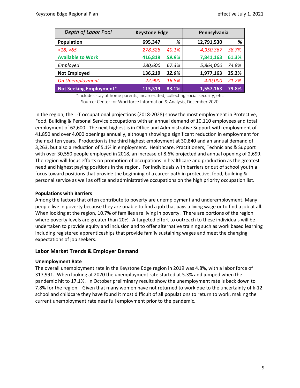| Depth of Labor Pool            | <b>Keystone Edge</b> |       | Pennsylvania |       |
|--------------------------------|----------------------|-------|--------------|-------|
| Population                     | 695,347              | %     | 12,791,530   | %     |
| <18, >65                       | 278,528              | 40.1% | 4,950,367    | 38.7% |
| <b>Available to Work</b>       | 416,819              | 59.9% | 7,841,163    | 61.3% |
| Employed                       | 280,600              | 67.3% | 5,864,000    | 74.8% |
| <b>Not Employed</b>            | 136,219              | 32.6% | 1,977,163    | 25.2% |
| On Unemployment                | 22,900               | 16.8% | 420,000      | 21.2% |
| <b>Not Seeking Employment*</b> | 113,319              | 83.1% | 1,557,163    | 79.8% |

\*includes stay at home parents, incarcerated, collecting social security, etc. Source: Center for Workforce Information & Analysis, December 2020

In the region, the L-T occupational projections (2018-2028) show the most employment in Protective, Food, Building & Personal Service occupations with an annual demand of 10,110 employees and total employment of 62,600. The next highest is in Office and Administrative Support with employment of 41,850 and over 4,000 openings annually, although showing a significant reduction in employment for the next ten years. Production is the third highest employment at 30,840 and an annual demand of 3,263, but also a reduction of 5.1% in employment. Healthcare, Practitioners, Technicians & Support with over 30,550 people employed in 2018, an increase of 8.6% projected and annual opening of 2,699. The region will focus efforts on promotion of occupations in healthcare and production as the greatest need and highest paying positions in the region. For individuals with barriers or out of school youth a focus toward positions that provide the beginning of a career path in protective, food, building & personal service as well as office and administrative occupations on the high priority occupation list.

#### **Populations with Barriers**

Among the factors that often contribute to poverty are unemployment and underemployment. Many people live in poverty because they are unable to find a job that pays a living wage or to find a job at all. When looking at the region, 10.7% of families are living in poverty. There are portions of the region where poverty levels are greater than 20%. A targeted effort to outreach to these individuals will be undertaken to provide equity and inclusion and to offer alternative training such as work based learning including registered apprenticeships that provide family sustaining wages and meet the changing expectations of job seekers.

#### **Labor Market Trends & Employer Demand**

#### **Unemployment Rate**

The overall unemployment rate in the Keystone Edge region in 2019 was 4.8%, with a labor force of 317,991. When looking at 2020 the unemployment rate started at 5.3% and jumped when the pandemic hit to 17.1%. In October preliminary results show the unemployment rate is back down to 7.8% for the region. Given that many women have not returned to work due to the uncertainty of k-12 school and childcare they have found it most difficult of all populations to return to work, making the current unemployment rate near full employment prior to the pandemic.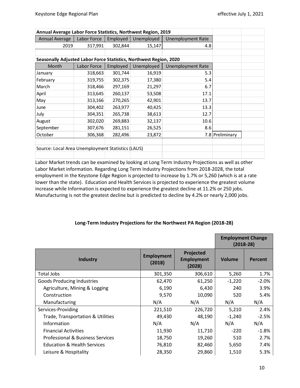|                                                                                                                                                                                                                                                                                                                                                                                                                                                                                          |             |          | Annual Average Labor Force Statistics, Northwest Region, 2019 |                  |                                                                      |                 |                                                           |
|------------------------------------------------------------------------------------------------------------------------------------------------------------------------------------------------------------------------------------------------------------------------------------------------------------------------------------------------------------------------------------------------------------------------------------------------------------------------------------------|-------------|----------|---------------------------------------------------------------|------------------|----------------------------------------------------------------------|-----------------|-----------------------------------------------------------|
| <b>Annual Average</b>                                                                                                                                                                                                                                                                                                                                                                                                                                                                    | Labor Force | Employed | Unemployed                                                    |                  | <b>Unemployment Rate</b>                                             |                 |                                                           |
| 2019                                                                                                                                                                                                                                                                                                                                                                                                                                                                                     | 317,991     | 302,844  | 15,147                                                        |                  | 4.8                                                                  |                 |                                                           |
|                                                                                                                                                                                                                                                                                                                                                                                                                                                                                          |             |          |                                                               |                  |                                                                      |                 |                                                           |
| Seasonally Adjusted Labor Force Statistics, Northwest Region, 2020                                                                                                                                                                                                                                                                                                                                                                                                                       |             |          |                                                               |                  |                                                                      |                 |                                                           |
| Month                                                                                                                                                                                                                                                                                                                                                                                                                                                                                    | Labor Force | Employed | Unemployed                                                    |                  | <b>Unemployment Rate</b>                                             |                 |                                                           |
| January                                                                                                                                                                                                                                                                                                                                                                                                                                                                                  | 318,663     | 301,744  | 16,919                                                        |                  | 5.3                                                                  |                 |                                                           |
| February                                                                                                                                                                                                                                                                                                                                                                                                                                                                                 | 319,755     | 302,375  | 17,380                                                        |                  | 5.4                                                                  |                 |                                                           |
| March                                                                                                                                                                                                                                                                                                                                                                                                                                                                                    | 318,466     | 297,169  | 21,297                                                        |                  | 6.7                                                                  |                 |                                                           |
| April                                                                                                                                                                                                                                                                                                                                                                                                                                                                                    | 313,645     | 260,137  | 53,508                                                        |                  | 17.1                                                                 |                 |                                                           |
| May                                                                                                                                                                                                                                                                                                                                                                                                                                                                                      | 313,166     | 270,265  | 42,901                                                        |                  | 13.7                                                                 |                 |                                                           |
| June                                                                                                                                                                                                                                                                                                                                                                                                                                                                                     | 304,402     | 263,977  | 40,425                                                        |                  | 13.3                                                                 |                 |                                                           |
| July                                                                                                                                                                                                                                                                                                                                                                                                                                                                                     | 304,351     | 265,738  | 38,613                                                        |                  | 12.7                                                                 |                 |                                                           |
| August                                                                                                                                                                                                                                                                                                                                                                                                                                                                                   | 302,020     | 269,883  | 32,137                                                        |                  | 10.6                                                                 |                 |                                                           |
| September                                                                                                                                                                                                                                                                                                                                                                                                                                                                                | 307,676     | 281,151  | 26,525                                                        |                  | 8.6                                                                  |                 |                                                           |
| October                                                                                                                                                                                                                                                                                                                                                                                                                                                                                  | 306,368     | 282,496  | 23,872                                                        |                  |                                                                      | 7.8 Preliminary |                                                           |
|                                                                                                                                                                                                                                                                                                                                                                                                                                                                                          |             |          |                                                               |                  |                                                                      |                 |                                                           |
| Source: Local Area Unemployment Statistics (LAUS)                                                                                                                                                                                                                                                                                                                                                                                                                                        |             |          |                                                               |                  |                                                                      |                 |                                                           |
|                                                                                                                                                                                                                                                                                                                                                                                                                                                                                          |             |          |                                                               |                  |                                                                      |                 |                                                           |
|                                                                                                                                                                                                                                                                                                                                                                                                                                                                                          |             |          |                                                               |                  | Long-Term Industry Projections for the Northwest PA Region (2018-28) |                 | <b>Employment Change</b><br>$(2018-28)$                   |
|                                                                                                                                                                                                                                                                                                                                                                                                                                                                                          | Industry    |          | <b>Employment</b><br>(2018)                                   |                  | Projected<br><b>Employment</b><br>(2028)                             | <b>Volume</b>   | <b>Percent</b>                                            |
|                                                                                                                                                                                                                                                                                                                                                                                                                                                                                          |             |          |                                                               | 301,350          | 306,610                                                              | 5,260           |                                                           |
| <b>Total Jobs</b>                                                                                                                                                                                                                                                                                                                                                                                                                                                                        |             |          |                                                               |                  |                                                                      |                 |                                                           |
| <b>Goods Producing Industries</b>                                                                                                                                                                                                                                                                                                                                                                                                                                                        |             |          |                                                               | 62,470           | 61,250                                                               | $-1,220$        |                                                           |
| Agriculture, Mining & Logging                                                                                                                                                                                                                                                                                                                                                                                                                                                            |             |          |                                                               | 6,190            | 6,430                                                                | 240             |                                                           |
| Construction                                                                                                                                                                                                                                                                                                                                                                                                                                                                             |             |          |                                                               | 9,570            | 10,090                                                               | 520             |                                                           |
| Manufacturing                                                                                                                                                                                                                                                                                                                                                                                                                                                                            |             |          | N/A                                                           |                  | N/A                                                                  | N/A             | N/A                                                       |
|                                                                                                                                                                                                                                                                                                                                                                                                                                                                                          |             |          |                                                               | 221,510          | 226,720                                                              | 5,210           |                                                           |
| Trade, Transportation & Utilities                                                                                                                                                                                                                                                                                                                                                                                                                                                        |             |          |                                                               | 49,430           | 48,190                                                               | $-1,240$        |                                                           |
| Services-Providing<br>Information                                                                                                                                                                                                                                                                                                                                                                                                                                                        |             |          | N/A                                                           |                  | N/A                                                                  | N/A             | 1.7%<br>$-2.0%$<br>3.9%<br>5.4%<br>2.4%<br>$-2.5%$<br>N/A |
| <b>Financial Activities</b>                                                                                                                                                                                                                                                                                                                                                                                                                                                              |             |          |                                                               | 11,930           | 11,710                                                               | $-220$          |                                                           |
| <b>Professional &amp; Business Services</b>                                                                                                                                                                                                                                                                                                                                                                                                                                              |             |          |                                                               | 18,750           | 19,260                                                               | 510             | $-1.8%$<br>2.7%                                           |
| employment in the Keystone Edge Region is projected to increase by 1.7% or 5,260 (which is at a rate<br>lower than the state). Education and Health Services is projected to experience the greatest volume<br>increase while Information is expected to experience the greatest decline at 11.2% or 250 jobs.<br>Manufacturing is not the greatest decline but is predicted to decline by 4.2% or nearly 2,000 jobs.<br><b>Education &amp; Health Services</b><br>Leisure & Hospitality |             |          |                                                               | 76,810<br>28,350 | 82,460<br>29,860                                                     | 5,650<br>1,510  | 7.4%<br>5.3%                                              |

#### **Long-Term Industry Projections for the Northwest PA Region (2018-28)**

|                                             |                             |                                          | <b>Employment Change</b><br>$(2018-28)$ |          |
|---------------------------------------------|-----------------------------|------------------------------------------|-----------------------------------------|----------|
| <b>Industry</b>                             | <b>Employment</b><br>(2018) | Projected<br><b>Employment</b><br>(2028) | <b>Volume</b>                           | Percent  |
| <b>Total Jobs</b>                           | 301,350                     | 306,610                                  | 5,260                                   | 1.7%     |
| <b>Goods Producing Industries</b>           | 62,470                      | 61,250                                   | $-1,220$                                | $-2.0\%$ |
| Agriculture, Mining & Logging               | 6,190                       | 6,430                                    | 240                                     | 3.9%     |
| Construction                                | 9,570                       | 10,090                                   | 520                                     | 5.4%     |
| Manufacturing                               | N/A                         | N/A                                      | N/A                                     | N/A      |
| Services-Providing                          | 221,510                     | 226,720                                  | 5,210                                   | 2.4%     |
| Trade, Transportation & Utilities           | 49,430                      | 48,190                                   | $-1,240$                                | $-2.5%$  |
| Information                                 | N/A                         | N/A                                      | N/A                                     | N/A      |
| <b>Financial Activities</b>                 | 11,930                      | 11,710                                   | $-220$                                  | $-1.8\%$ |
| <b>Professional &amp; Business Services</b> | 18,750                      | 19,260                                   | 510                                     | 2.7%     |
| <b>Education &amp; Health Services</b>      | 76,810                      | 82,460                                   | 5,650                                   | 7.4%     |
| Leisure & Hospitality                       | 28,350                      | 29,860                                   | 1,510                                   | 5.3%     |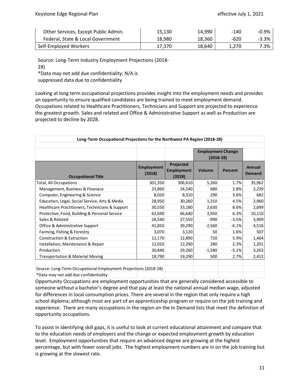| Other Services, Except Public Admin. | 15.130 | 14,990 | -140  | -0.9% |
|--------------------------------------|--------|--------|-------|-------|
| Federal, State & Local Government    | 18.980 | 18.360 | -620  | -3.3% |
| Self-Employed Workers                | 17.370 | 18.640 | 1.270 | 7.3%  |

Source: Long-Term Industry Employment Projections (2018-

28)

\*Data may not add due confidentiality; N/A is

suppressed data due to confidentiality

Looking at long term occupational projections provides insight into the employment needs and provides an opportunity to ensure qualified candidates are being trained to meet employment demand. Occupations related to Healthcare Practitioners, Technicians and Support are projected to experience the greatest growth. Sales and related and Office & Administrative Support as well as Production are projected to decline by 2028.

| Long-Term Occupational Projections for the Northwest PA Region (2018-28) |                             |                                          |                                         |         |                                |  |  |
|--------------------------------------------------------------------------|-----------------------------|------------------------------------------|-----------------------------------------|---------|--------------------------------|--|--|
|                                                                          |                             |                                          | <b>Employment Change</b><br>$(2018-28)$ |         |                                |  |  |
| <b>Occupational Title</b>                                                | <b>Employment</b><br>(2018) | Projected<br><b>Employment</b><br>(2028) | Volume                                  | Percent | <b>Annual</b><br><b>Demand</b> |  |  |
| <b>Total, All Occupations</b>                                            | 301,350                     | 306,610                                  | 5,260                                   | 1.7%    | 35,962                         |  |  |
| Management, Business & Finanace                                          | 23,860                      | 24,540                                   | 680                                     | 2.8%    | 2,239                          |  |  |
| Computer, Engineering & Science                                          | 8,020                       | 8,310                                    | 290                                     | 3.6%    | 682                            |  |  |
| Education, Legal, Social Service, Arts & Media                           | 28,950                      | 30,260                                   | 1,310                                   | 4.5%    | 2,960                          |  |  |
| Healthcare Practitioners, Technicians & Support                          | 30,550                      | 33,180                                   | 2,630                                   | 8.6%    | 2,699                          |  |  |
| Protective, Food, Building & Personal Service                            | 62,690                      | 66,640                                   | 3,950                                   | 6.3%    | 10,110                         |  |  |
| Sales & Related                                                          | 28,540                      | 27,550                                   | $-990$                                  | $-3.5%$ | 3,909                          |  |  |
| Office & Administrative Support                                          | 41,850                      | 39,290                                   | $-2,560$                                | $-6.1%$ | 4,516                          |  |  |
| Farming, Fishing & Forestry                                              | 3,070                       | 3,120                                    | 50                                      | 1.6%    | 507                            |  |  |
| <b>Construction &amp; Extraction</b>                                     | 12,170                      | 12,890                                   | 720                                     | 5.9%    | 1,464                          |  |  |
| Installation, Maintenance & Repair                                       | 12,010                      | 12,290                                   | 280                                     | 2.3%    | 1,201                          |  |  |
| Production                                                               | 30,840                      | 29,260                                   | $-1,580$                                | $-5.1%$ | 3,263                          |  |  |
| Transportation & Material Moving                                         | 18,790                      | 19,290                                   | 500                                     | 2.7%    | 2,412                          |  |  |
| Source: Long-Term Occupational Employment Projections (2018-28)          |                             |                                          |                                         |         |                                |  |  |
| * Det el personal el establista de la fista petatte litera               |                             |                                          |                                         |         |                                |  |  |

\*Data may not add due confidentiality

Opportunity Occupations are employment opportunities that are generally considered accessible to someone without a bachelor's degree and that pay at least the national annual median wage, adjusted for differences in local consumption prices. There are several in the region that only require a high school diploma; although most are part of an apprenticeship program or require on the job training and experience. There are many occupations in the region on the In Demand lists that meet the definition of opportunity occupations.

To assist in identifying skill gaps, it is useful to look at current educational attainment and compare that to the education needs of employers and the change or expected employment growth by education level. Employment opportunities that require an advanced degree are growing at the highest percentage, but with fewer overall jobs. The highest employment numbers are in on the job training but is growing at the slowest rate.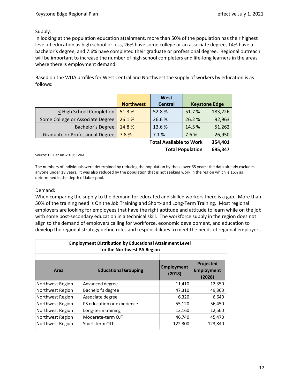#### Supply:

In looking at the population education attainment, more than 50% of the population has their highest level of education as high school or less, 26% have some college or an associate degree, 14% have a bachelor's degree, and 7.6% have completed their graduate or professional degree. Regional outreach will be important to increase the number of high school completers and life-long learners in the areas where there is employment demand.

Based on the WDA profiles for West Central and Northwest the supply of workers by education is as follows:

|                                  |                  | West           |                      |                |
|----------------------------------|------------------|----------------|----------------------|----------------|
|                                  | <b>Northwest</b> | <b>Central</b> | <b>Keystone Edge</b> |                |
| < High School Completion         | 51.3%            | 52.8%          | 51.7%                | 183,226        |
| Some College or Associate Degree | 26.1%            | 26.6%          | 26.2 %               | 92,963         |
| <b>Bachelor's Degree</b>         | 14.8%            | 13.6 %         | 14.5 %               | 51,262         |
| Graduate or Professional Degree  | 7.8%             | 7.1%           | 7.6%                 | 26,950         |
|                                  |                  |                |                      | <b>***</b> *** |

**Total Available to Work 354,401 Total Population 695,347**

Source: US Census-2019; CWIA

The numbers of individuals were determined by reducing the population by those over 65 years; the data already excludes anyone under 18 years. It was also reduced by the population that is not seeking work in the region which is 16% as determined in the depth of labor pool.

#### Demand:

When comparing the supply to the demand for educated and skilled workers there is a gap. More than 50% of the training need is On the Job Training and Short- and Long-Term Training. Most regional employers are looking for employees that have the right aptitude and attitude to learn while on the job with some post-secondary education in a technical skill. The workforce supply in the region does not align to the demand of employers calling for workforce, economic development, and education to develop the regional strategy define roles and responsibilities to meet the needs of regional employers.

| <b>Employment Distribution by Educational Attainment Level</b><br>for the Northwest PA Region |                             |                             |                                          |  |  |
|-----------------------------------------------------------------------------------------------|-----------------------------|-----------------------------|------------------------------------------|--|--|
| Area                                                                                          | <b>Educational Grouping</b> | <b>Employment</b><br>(2018) | Projected<br><b>Employment</b><br>(2028) |  |  |
| Northwest Region                                                                              | Advanced degree             | 11,410                      | 12,350                                   |  |  |
| Northwest Region                                                                              | Bachelor's degree           | 47,310                      | 49,360                                   |  |  |
| Northwest Region                                                                              | Associate degree            | 6,320                       | 6,640                                    |  |  |
| Northwest Region                                                                              | PS education or experience  | 55,120                      | 56,450                                   |  |  |
| Northwest Region                                                                              | Long-term training          | 12,160                      | 12,500                                   |  |  |
| Northwest Region                                                                              | Moderate-term OJT           | 46,740                      | 45,470                                   |  |  |
| Northwest Region                                                                              | Short-term OJT              | 122,300                     | 123,840                                  |  |  |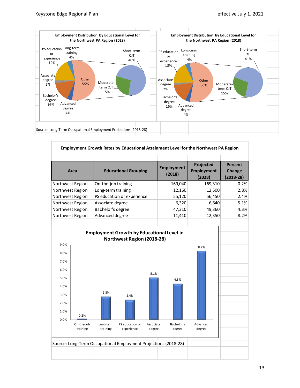

|                      |                        |                       |                                                                 |                     |                             | Employment Growth Rates by Educational Attainment Level for the Northwest PA Region |                                         |
|----------------------|------------------------|-----------------------|-----------------------------------------------------------------|---------------------|-----------------------------|-------------------------------------------------------------------------------------|-----------------------------------------|
|                      | Area                   |                       | <b>Educational Grouping</b>                                     |                     | <b>Employment</b><br>(2018) | Projected<br><b>Employment</b><br>(2028)                                            | <b>Percent</b><br>Change<br>$(2018-28)$ |
| Northwest Region     |                        | On-the-job training   |                                                                 |                     | 169,040                     | 169,310                                                                             | 0.2%                                    |
| Northwest Region     |                        | Long-term training    |                                                                 |                     | 12,160                      | 12,500                                                                              | 2.8%                                    |
| Northwest Region     |                        |                       | PS education or experience                                      |                     | 55,120                      | 56,450                                                                              | 2.4%                                    |
| Northwest Region     |                        | Associate degree      |                                                                 |                     | 6,320                       | 6,640                                                                               | 5.1%                                    |
| Northwest Region     |                        | Bachelor's degree     |                                                                 |                     | 47,310                      | 49,360                                                                              | 4.3%                                    |
| Northwest Region     |                        | Advanced degree       |                                                                 |                     | 11,410                      | 12,350                                                                              | 8.2%                                    |
| 8.0%<br>7.0%<br>6.0% |                        |                       |                                                                 |                     |                             | 8.2%                                                                                |                                         |
| 5.0%<br>4.0%         |                        |                       |                                                                 | 5.1%                | 4.3%                        |                                                                                     |                                         |
| 3.0%<br>2.0%         |                        | 2.8%                  | 2.4%                                                            |                     |                             |                                                                                     |                                         |
| 1.0%<br>0.0%         | 0.2%                   |                       |                                                                 |                     |                             |                                                                                     |                                         |
|                      | On-the-job<br>training | Long-term<br>training | PS education or<br>experience                                   | Associate<br>degree | Bachelor's<br>degree        | Advanced<br>degree                                                                  |                                         |
|                      |                        |                       | Source: Long-Term Occupational Employment Projections (2018-28) |                     |                             |                                                                                     |                                         |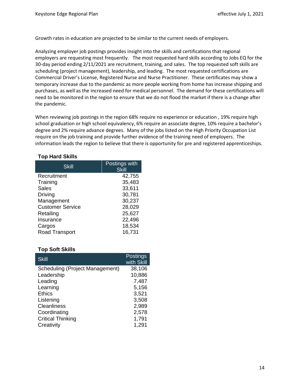Growth rates in education are projected to be similar to the current needs of employers.

Analyzing employer job postings provides insight into the skills and certifications that regional employers are requesting most frequently. The most requested hard skills according to Jobs EQ for the 30-day period ending 2/11/2021 are recruitment, training, and sales. The top requested soft skills are scheduling (project management), leadership, and leading. The most requested certifications are Commercial Driver's License, Registered Nurse and Nurse Practitioner. These certificates may show a temporary increase due to the pandemic as more people working from home has increase shipping and purchases, as well as the increased need for medical personnel. The demand for these certifications will need to be monitored in the region to ensure that we do not flood the market if there is a change after the pandemic.

When reviewing job postings in the region 68% require no experience or education, 19% require high school graduation or high school equivalency, 6% require an associate degree, 10% require a bachelor's degree and 2% require advance degrees. Many of the jobs listed on the High Priority Occupation List require on the job training and provide further evidence of the training need of employers. The information leads the region to believe that there is opportunity for pre and registered apprenticeships.

#### **Top Hard Skills**

| Skill                   | Postings with<br><b>Skill</b> |
|-------------------------|-------------------------------|
| Recruitment             | 42,755                        |
| Training                | 35,483                        |
| <b>Sales</b>            | 33,611                        |
| Driving                 | 30,781                        |
| Management              | 30,237                        |
| <b>Customer Service</b> | 28,029                        |
| Retailing               | 25,627                        |
| Insurance               | 22,496                        |
| Cargos                  | 18,534                        |
| Road Transport          | 16,731                        |

#### **Top Soft Skills**

| <b>Skill</b>                    | <b>Postings</b> |
|---------------------------------|-----------------|
|                                 | with Skill      |
| Scheduling (Project Management) | 38,106          |
| Leadership                      | 10,886          |
| Leading                         | 7,487           |
| Learning                        | 5,156           |
| <b>Ethics</b>                   | 3,521           |
| Listening                       | 3,508           |
| <b>Cleanliness</b>              | 2,989           |
| Coordinating                    | 2,578           |
| <b>Critical Thinking</b>        | 1,791           |
| Creativity                      | 1,291           |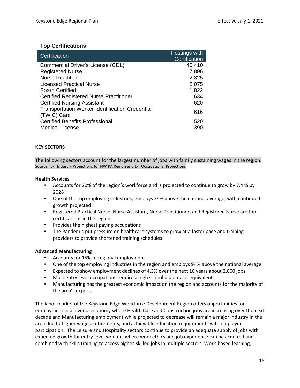#### **Top Certifications**

| Certification                                                         | Postings with<br>Certification |
|-----------------------------------------------------------------------|--------------------------------|
| Commercial Driver's License (CDL)                                     | 40,410                         |
| <b>Registered Nurse</b>                                               | 7,896                          |
| <b>Nurse Practitioner</b>                                             | 2,325                          |
| <b>Licensed Practical Nurse</b>                                       | 2,075                          |
| <b>Board Certified</b>                                                | 1,822                          |
| <b>Certified Registered Nurse Practitioner</b>                        | 634                            |
| <b>Certified Nursing Assistant</b>                                    | 620                            |
| <b>Transportation Worker Identification Credential</b><br>(TWIC) Card | 616                            |
| <b>Certified Benefits Professional</b>                                | 520                            |
| <b>Medical License</b>                                                | 390                            |

#### **KEY SECTORS**

The following sectors account for the largest number of jobs with family sustaining wages in the region. Source: L-T Industry Projections for NW PA Region and L-T Occupational Projections

#### **Health Services**

- Accounts for 20% of the region's workforce and is projected to continue to grow by 7.4 % by 2028
- One of the top employing industries; employs 34% above the national average; with continued growth projected
- Registered Practical Nurse, Nurse Assistant, Nurse Practitioner, and Registered Nurse are top certifications in the region
- Provides the highest paying occupations
- The Pandemic put pressure on healthcare systems to grow at a faster pace and training providers to provide shortened training schedules

#### **Advanced Manufacturing**

- Accounts for 15% of regional employment
- One of the top employing industries in the region and employs 94% above the national average
- Expected to show employment declines of 4.3% over the next 10 years about 2,000 jobs
- Most entry level occupations require a high school diploma or equivalent
- Manufacturing has the greatest economic impact on the region and accounts for the majority of the area's exports

The labor market of the Keystone Edge Workforce Development Region offers opportunities for employment in a diverse economy where Health Care and Construction jobs are increasing over the next decade and Manufacturing employment while projected to decrease will remain a major industry in the area due to higher wages, retirements, and achievable education requirements with employer participation. The Leisure and Hospitality sectors continue to provide an adequate supply of jobs with expected growth for entry-level workers where work ethics and job experience can be acquired and combined with skills training to access higher-skilled jobs in multiple sectors. Work-based learning,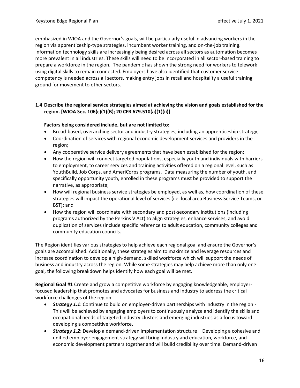emphasized in WIOA and the Governor's goals, will be particularly useful in advancing workers in the region via apprenticeship-type strategies, incumbent worker training, and on-the-job training. Information technology skills are increasingly being desired across all sectors as automation becomes more prevalent in all industries. These skills will need to be incorporated in all sector-based training to prepare a workforce in the region. The pandemic has shown the strong need for workers to telework using digital skills to remain connected. Employers have also identified that customer service competency is needed across all sectors, making entry jobs in retail and hospitality a useful training ground for movement to other sectors.

#### **1.4 Describe the regional service strategies aimed at achieving the vision and goals established for the region. [WIOA Sec. 106(c)(1)(B); 20 CFR 679.510(a)(1)(ii)]**

#### **Factors being considered include, but are not limited to:**

- Broad-based, overarching sector and industry strategies, including an apprenticeship strategy;
- Coordination of services with regional economic development services and providers in the region;
- Any cooperative service delivery agreements that have been established for the region;
- How the region will connect targeted populations, especially youth and individuals with barriers to employment, to career services and training activities offered on a regional level, such as YouthBuild, Job Corps, and AmeriCorps programs. Data measuring the number of youth, and specifically opportunity youth, enrolled in these programs must be provided to support the narrative, as appropriate;
- How will regional business service strategies be employed, as well as, how coordination of these strategies will impact the operational level of services (i.e. local area Business Service Teams, or BST); and
- How the region will coordinate with secondary and post-secondary institutions (including programs authorized by the Perkins V Act) to align strategies, enhance services, and avoid duplication of services (include specific reference to adult education, community colleges and community education councils.

The Region identifies various strategies to help achieve each regional goal and ensure the Governor's goals are accomplished. Additionally, these strategies aim to maximize and leverage resources and increase coordination to develop a high-demand, skilled workforce which will support the needs of business and industry across the region. While some strategies may help achieve more than only one goal, the following breakdown helps identify how each goal will be met.

**Regional Goal #1** Create and grow a competitive workforce by engaging knowledgeable, employerfocused leadership that promotes and advocates for business and industry to address the critical workforce challenges of the region.

- *Strategy 1.1*: Continue to build on employer-driven partnerships with industry in the region This will be achieved by engaging employers to continuously analyze and identify the skills and occupational needs of targeted industry clusters and emerging industries as a focus toward developing a competitive workforce.
- *Strategy 1.2*: Develop a demand-driven implementation structure Developing a cohesive and unified employer engagement strategy will bring industry and education, workforce, and economic development partners together and will build credibility over time. Demand-driven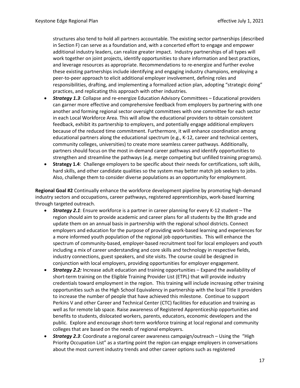structures also tend to hold all partners accountable. The existing sector partnerships (described in Section F) can serve as a foundation and, with a concerted effort to engage and empower additional industry leaders, can realize greater impact. Industry partnerships of all types will work together on joint projects, identify opportunities to share information and best practices, and leverage resources as appropriate. Recommendations to re-energize and further evolve these existing partnerships include identifying and engaging industry champions, employing a peer-to-peer approach to elicit additional employer involvement, defining roles and responsibilities, drafting, and implementing a formalized action plan, adopting "strategic doing" practices, and replicating this approach with other industries.

- *Strategy 1.3*: Collapse and re-energize Education Advisory Committees Educational providers can garner more effective and comprehensive feedback from employers by partnering with one another and forming regional sector oversight committees with one committee for each sector in each Local Workforce Area. This will allow the educational providers to obtain consistent feedback, exhibit its partnership to employers, and potentially engage additional employers because of the reduced time commitment. Furthermore, it will enhance coordination among educational partners along the educational spectrum (e.g., K-12, career and technical centers, community colleges, universities) to create more seamless career pathways. Additionally, partners should focus on the most in-demand career pathways and identify opportunities to strengthen and streamline the pathways (e.g. merge competing but unfilled training programs).
- **Strategy 1.4**: Challenge employers to be specific about their needs for certifications, soft skills, hard skills, and other candidate qualities so the system may better match job seekers to jobs. Also, challenge them to consider diverse populations as an opportunity for employment.

**Regional Goal #2** Continually enhance the workforce development pipeline by promoting high-demand industry sectors and occupations, career pathways, registered apprenticeships, work-based learning through targeted outreach.

- *Strategy 2.1*: Ensure workforce is a partner in career planning for every K-12 student The region should aim to provide academic and career plans for all students by the 8th grade and update them on an annual basis in partnership with the regional school districts. Connect employers and education for the purpose of providing work-based learning and experiences for a more informed youth population of the regional job opportunities. This will enhance the spectrum of community-based, employer-based recruitment tool for local employers and youth including a mix of career understanding and core skills and technology in respective fields, industry connections, guest speakers, and site visits. The course could be designed in conjunction with local employers, providing opportunities for employer engagement.
- *Strategy 2.2:* Increase adult education and training opportunities Expand the availability of short-term training on the Eligible Training Provider List (ETPL) that will provide industry credentials toward employment in the region. This training will include increasing other training opportunities such as the High School Equivalency in partnership with the local Title II providers to increase the number of people that have achieved this milestone. Continue to support Perkins V and other Career and Technical Center (CTC) facilities for education and training as well as for remote lab space. Raise awareness of Registered Apprenticeship opportunities and benefits to students, dislocated workers, parents, educators, economic developers and the public. Explore and encourage short-term workforce training at local regional and community colleges that are based on the needs of regional employers.
- *Strategy 2.3*: Coordinate a regional career awareness campaign/outreach Using the "High Priority Occupation List" as a starting point the region can engage employers in conversations about the most current industry trends and other career options such as registered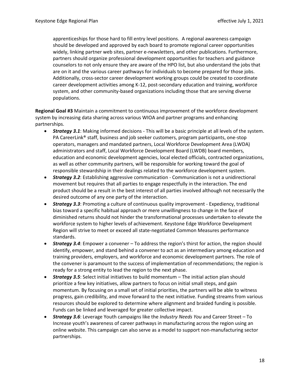apprenticeships for those hard to fill entry level positions. A regional awareness campaign should be developed and approved by each board to promote regional career opportunities widely, linking partner web sites, partner e-newsletters, and other publications. Furthermore, partners should organize professional development opportunities for teachers and guidance counselors to not only ensure they are aware of the HPO list, but also understand the jobs that are on it and the various career pathways for individuals to become prepared for those jobs. Additionally, cross-sector career development working groups could be created to coordinate career development activities among K-12, post-secondary education and training, workforce system, and other community-based organizations including those that are serving diverse populations.

**Regional Goal #3** Maintain a commitment to continuous improvement of the workforce development system by increasing data sharing across various WIOA and partner programs and enhancing partnerships.

- *Strategy 3.1*: Making informed decisions This will be a basic principle at all levels of the system. PA CareerLink® staff, business and job seeker customers, program participants, one-stop operators, managers and mandated partners, Local Workforce Development Area (LWDA) administrators and staff, Local Workforce Development Board (LWDB) board members, education and economic development agencies, local elected officials, contracted organizations, as well as other community partners, will be responsible for working toward the goal of responsible stewardship in their dealings related to the workforce development system.
- *Strategy 3.2*: Establishing aggressive communication Communication is not a unidirectional movement but requires that all parties to engage respectfully in the interaction. The end product should be a result in the best interest of all parties involved although not necessarily the desired outcome of any one party of the interaction.
- *Strategy 3.3*: Promoting a culture of continuous quality improvement Expediency, traditional bias toward a specific habitual approach or mere unwillingness to change in the face of diminished returns should not hinder the transformational processes undertaken to elevate the workforce system to higher levels of achievement. Keystone Edge Workforce Development Region will strive to meet or exceed all state-negotiated Common Measures performance standards.
- *Strategy 3.4*: Empower a convener To address the region's thirst for action, the region should identify, empower, and stand behind a convener to act as an intermediary among education and training providers, employers, and workforce and economic development partners. The role of the convener is paramount to the success of implementation of recommendations; the region is ready for a strong entity to lead the region to the next phase.
- *Strategy 3.5*: Select initial initiatives to build momentum The initial action plan should prioritize a few key initiatives, allow partners to focus on initial small steps, and gain momentum. By focusing on a small set of initial priorities, the partners will be able to witness progress, gain credibility, and move forward to the next initiative. Funding streams from various resources should be explored to determine where alignment and braided funding is possible. Funds can be linked and leveraged for greater collective impact.
- *Strategy 3.6*: Leverage Youth campaigns like the *Industry Needs You* and Career Street To Increase youth's awareness of career pathways in manufacturing across the region using an online website. This campaign can also serve as a model to support non-manufacturing sector partnerships.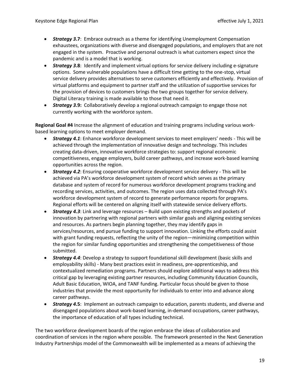- *Strategy 3***.7**: Embrace outreach as a theme for identifying Unemployment Compensation exhaustees, organizations with diverse and disengaged populations, and employers that are not engaged in the system. Proactive and personal outreach is what customers expect since the pandemic and is a model that is working.
- *Strategy 3***.8**: Identify and implement virtual options for service delivery including e-signature options. Some vulnerable populations have a difficult time getting to the one-stop, virtual service delivery provides alternatives to serve customers efficiently and effectively. Provision of virtual platforms and equipment to partner staff and the utilization of supportive services for the provision of devices to customers brings the two groups together for service delivery. Digital Literacy training is made available to those that need it.
- *Strategy 3***.9:** Collaboratively develop a regional outreach campaign to engage those not currently working with the workforce system.

**Regional Goal #4** Increase the alignment of education and training programs including various workbased learning options to meet employer demand.

- *Strategy 4.1*: Enhance workforce development services to meet employers' needs This will be achieved through the implementation of innovative design and technology. This includes creating data-driven, innovative workforce strategies to: support regional economic competitiveness, engage employers, build career pathways, and increase work-based learning opportunities across the region.
- *Strategy 4.2*: Ensuring cooperative workforce development service delivery This will be achieved via PA's workforce development system of record which serves as the primary database and system of record for numerous workforce development programs tracking and recording services, activities, and outcomes. The region uses data collected through PA's workforce development system of record to generate performance reports for programs. Regional efforts will be centered on aligning itself with statewide service delivery efforts.
- *Strategy 4.3*: Link and leverage resources Build upon existing strengths and pockets of innovation by partnering with regional partners with similar goals and aligning existing services and resources. As partners begin planning together, they may identify gaps in services/resources, and pursue funding to support innovation. Linking the efforts could assist with grant funding requests, reflecting the unity of the region—minimizing competition within the region for similar funding opportunities and strengthening the competitiveness of those submitted.
- *Strategy 4.4*: Develop a strategy to support foundational skill development (basic skills and employability skills) - Many best practices exist in readiness, pre-apprenticeship, and contextualized remediation programs. Partners should explore additional ways to address this critical gap by leveraging existing partner resources, including Community Education Councils, Adult Basic Education, WIOA, and TANF funding. Particular focus should be given to those industries that provide the most opportunity for individuals to enter into and advance along career pathways.
- *Strategy 4***.5**: Implement an outreach campaign to education, parents students, and diverse and disengaged populations about work-based learning, in-demand occupations, career pathways, the importance of education of all types including technical.

The two workforce development boards of the region embrace the ideas of collaboration and coordination of services in the region where possible. The framework presented in the Next Generation Industry Partnerships model of the Commonwealth will be implemented as a means of achieving the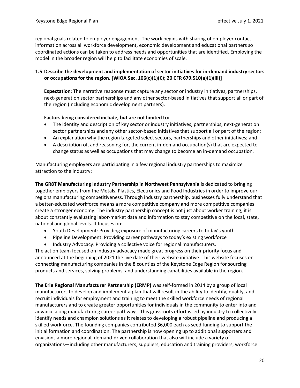regional goals related to employer engagement. The work begins with sharing of employer contact information across all workforce development, economic development and educational partners so coordinated actions can be taken to address needs and opportunities that are identified. Employing the model in the broader region will help to facilitate economies of scale.

#### **1.5 Describe the development and implementation of sector initiatives for in-demand industry sectors or occupations for the region. [WIOA Sec. 106(c)(1)(C); 20 CFR 679.510(a)(1)(iii)]**

**Expectation**: The narrative response must capture any sector or industry initiatives, partnerships, next-generation sector partnerships and any other sector-based initiatives that support all or part of the region (including economic development partners).

#### **Factors being considered include, but are not limited to:**

- The identity and description of key sector or industry initiatives, partnerships, next-generation sector partnerships and any other sector-based initiatives that support all or part of the region;
- An explanation why the region targeted select sectors, partnerships and other initiatives; and
- A description of, and reasoning for, the current in-demand occupation(s) that are expected to change status as well as occupations that may change to become an in-demand occupation.

Manufacturing employers are participating in a few regional industry partnerships to maximize attraction to the industry:

**The GR8T Manufacturing Industry Partnership in Northwest Pennsylvania** is dedicated to bringing together employers from the Metals, Plastics, Electronics and Food Industries in order to improve our regions manufacturing competitiveness. Through industry partnership, businesses fully understand that a better-educated workforce means a more competitive company and more competitive companies create a stronger economy. The industry partnership concept is not just about worker training; it is about constantly evaluating labor-market data and information to stay competitive on the local, state, national and global levels. It focuses on:

- Youth Development: Providing exposure of manufacturing careers to today's youth
- Pipeline Development: Providing career pathways to today's existing workforce
- Industry Advocacy: Providing a collective voice for regional manufacturers.

The action team focused on industry advocacy made great progress on their priority focus and announced at the beginning of 2021 the live date of their website initiative. This website focuses on connecting manufacturing companies in the 8 counties of the Keystone Edge Region for sourcing products and services, solving problems, and understanding capabilities available in the region.

**The Erie Regional Manufacturer Partnership (ERMP)** was self-formed in 2014 by a group of local manufacturers to develop and implement a plan that will result in the ability to identify, qualify, and recruit individuals for employment and training to meet the skilled workforce needs of regional manufacturers and to create greater opportunities for individuals in the community to enter into and advance along manufacturing career pathways. This grassroots effort is led by industry to collectively identify needs and champion solutions as it relates to developing a robust pipeline and producing a skilled workforce. The founding companies contributed \$6,000 each as seed funding to support the initial formation and coordination. The partnership is now opening up to additional supporters and envisions a more regional, demand-driven collaboration that also will include a variety of organizations—including other manufacturers, suppliers, education and training providers, workforce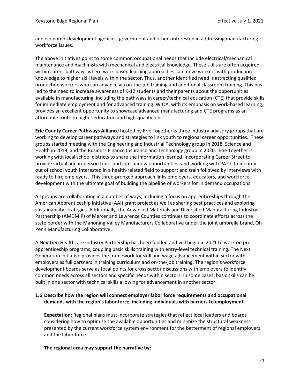and economic development agencies, government and others interested in addressing manufacturing workforce issues.

The above initiatives point to some common occupational needs that include electrical/mechanical maintenance and machinists with mechanical and electrical knowledge. These skills are often acquired within career pathways where work-based learning approaches can move workers with production knowledge to higher skill levels within the sector. Thus, another identified need is attracting qualified production workers who can advance via on-the-job training and additional classroom training. This has led to the need to increase awareness of K-12 students and their parents about the opportunities available in manufacturing, including the pathways in career/technical education (CTE) that provide skills for immediate employment and for advanced training. WIOA, with its emphasis on work-based learning, provides an excellent opportunity to showcase advanced manufacturing and CTE programs as an affordable route to higher education and high-quality jobs.

**Erie County Career Pathways Alliance** hosted by Erie Together is three industry advisory groups that are working to develop career pathways and strategies to link youth to regional career opportunities. These groups started meeting with the Engineering and Industrial Technology group in 2018, Science and Health in 2019, and the Business Finance Insurance and Technology group in 2020. Erie Together is working with local school districts to share the information learned, incorporating Career Street to provide virtual and in-person tours and job shadow opportunities, and working with PA CL to identify out of school youth interested in a health-related field to support and train followed by interviews with ready to hire employers. This three-pronged approach links employers, educators, and workforce development with the ultimate goal of building the pipeline of workers for in demand occupations.

All groups are collaborating in a number of ways, including a focus on apprenticeships through the American Apprenticeship Initiative (AAI) grant project as well as sharing best practices and exploring sustainability strategies. Additionally, the Advanced Materials and Diversified Manufacturing Industry Partnership (AMDMIP) of Mercer and Lawrence Counties continues to coordinate efforts across the state border with the Mahoning Valley Manufacturers Collaborative under the joint umbrella brand, Oh-Penn Manufacturing Collaborative.

A NextGen Healthcare Industry Partnership has been funded and will begin in 2021 to work on preapprenticeship programs, coupling basic skills training with entry-level technical training. The Next Generation initiative provides the framework for skill and wage advancement within sector with employers as full partners in training curriculum and on-the-job training. The region's workforce development boards serve as focal points for cross-sector discussions with employers to identify common needs across all sectors and specific needs within sectors. In some cases, basic skills can be built in one sector with technical skills allowing for advancement in another sector.

#### **1.6 Describe how the region will connect employer labor force requirements and occupational demands with the region's labor force, including individuals with barriers to employment.**

**Expectation:** Regional plans must incorporate strategies that reflect local leaders and boards considering how to optimize the available opportunities and minimize the structural weakness presented by the current workforce system environment for the betterment of regional employers and the labor force.

**The regional area may support the narrative by:**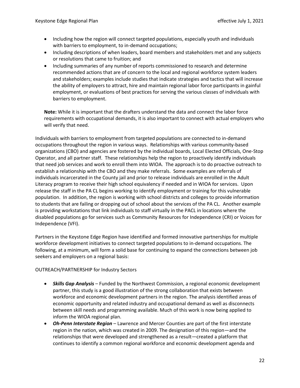- Including how the region will connect targeted populations, especially youth and individuals with barriers to employment, to in-demand occupations;
- Including descriptions of when leaders, board members and stakeholders met and any subjects or resolutions that came to fruition; and
- Including summaries of any number of reports commissioned to research and determine recommended actions that are of concern to the local and regional workforce system leaders and stakeholders; examples include studies that indicate strategies and tactics that will increase the ability of employers to attract, hire and maintain regional labor force participants in gainful employment, or evaluations of best practices for serving the various classes of individuals with barriers to employment.

**Note:** While it is important that the drafters understand the data and connect the labor force requirements with occupational demands, it is also important to connect with actual employers who will verify that need.

Individuals with barriers to employment from targeted populations are connected to in-demand occupations throughout the region in various ways. Relationships with various community-based organizations (CBO) and agencies are fostered by the individual boards, Local Elected Officials, One-Stop Operator, and all partner staff. These relationships help the region to proactively identify individuals that need job services and work to enroll them into WIOA. The approach is to do proactive outreach to establish a relationship with the CBO and they make referrals. Some examples are referrals of individuals incarcerated in the County jail and prior to release individuals are enrolled in the Adult Literacy program to receive their high school equivalency if needed and in WIOA for services. Upon release the staff in the PA CL begins working to identify employment or training for this vulnerable population. In addition, the region is working with school districts and colleges to provide information to students that are failing or dropping out of school about the services of the PA CL. Another example is providing workstations that link individuals to staff virtually in the PACL in locations where the disabled populations go for services such as Community Resources for Independence (CRI) or Voices for Independence (VFI).

Partners in the Keystone Edge Region have identified and formed innovative partnerships for multiple workforce development initiatives to connect targeted populations to in-demand occupations. The following, at a minimum, will form a solid base for continuing to expand the connections between job seekers and employers on a regional basis:

#### OUTREACH/PARTNERSHIP for Industry Sectors

- *Skills Gap Analysis* Funded by the Northwest Commission, a regional economic development partner, this study is a good illustration of the strong collaboration that exists between workforce and economic development partners in the region. The analysis identified areas of economic opportunity and related industry and occupational demand as well as disconnects between skill needs and programming available. Much of this work is now being applied to inform the WIOA regional plan.
- *Oh-Penn Interstate Region* Lawrence and Mercer Counties are part of the first interstate region in the nation, which was created in 2009. The designation of this region—and the relationships that were developed and strengthened as a result—created a platform that continues to identify a common regional workforce and economic development agenda and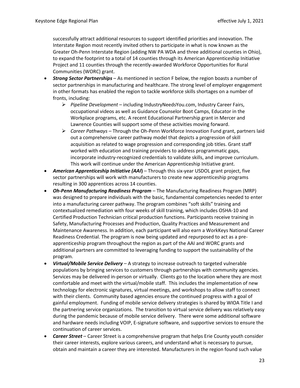successfully attract additional resources to support identified priorities and innovation. The Interstate Region most recently invited others to participate in what is now known as the Greater Oh-Penn Interstate Region (adding NW PA WDA and three additional counties in Ohio), to expand the footprint to a total of 14 counties through its American Apprenticeship Initiative Project and 11 counties through the recently-awarded Workforce Opportunities for Rural Communities (WORC) grant.

- *Strong Sector Partnerships* As mentioned in section F below, the region boasts a number of sector partnerships in manufacturing and healthcare. The strong level of employer engagement in other formats has enabled the region to tackle workforce skills shortages on a number of fronts, including:
	- ➢ *Pipeline Development*  including IndustryNeedsYou.com, Industry Career Fairs, occupational videos as well as Guidance Counselor Boot Camps, Educator in the Workplace programs, etc. A recent Educational Partnership grant in Mercer and Lawrence Counties will support some of these activities moving forward.
	- ➢ *Career Pathways –* Through the Oh-Penn Workforce Innovation Fund grant, partners laid out a comprehensive career pathway model that depicts a progression of skill acquisition as related to wage progression and corresponding job titles. Grant staff worked with education and training providers to address programmatic gaps, incorporate industry-recognized credentials to validate skills, and improve curriculum. This work will continue under the American Apprenticeship Initiative grant.
- **American Apprenticeship Initiative (AAI)** Through this six-year USDOL grant project, five sector partnerships will work with manufacturers to create new apprenticeship programs resulting in 300 apprentices across 14 counties.
- *Oh-Penn Manufacturing Readiness Program* The Manufacturing Readiness Program (MRP) was designed to prepare individuals with the basic, fundamental competencies needed to enter into a manufacturing career pathway. The program combines "soft skills" training and contextualized remediation with four weeks of skill training, which includes OSHA-10 and Certified Production Technician critical production functions. Participants receive training in Safety, Manufacturing Processes and Production, Quality Practices and Measurement and Maintenance Awareness. In addition, each participant will also earn a WorkKeys National Career Readiness Credential. The program is now being updated and repurposed to act as a preapprenticeship program throughout the region as part of the AAI and WORC grants and additional partners are committed to leveraging funding to support the sustainability of the program.
- *Virtual/Mobile Service Delivery* A strategy to increase outreach to targeted vulnerable populations by bringing services to customers through partnerships with community agencies. Services may be delivered in-person or virtually. Clients go to the location where they are most comfortable and meet with the virtual/mobile staff. This includes the implementation of new technology for electronic signatures, virtual meetings, and workshops to allow staff to connect with their clients. Community based agencies ensure the continued progress with a goal of gainful employment. Funding of mobile service delivery strategies is shared by WIOA Title I and the partnering service organizations. The transition to virtual service delivery was relatively easy during the pandemic because of mobile service delivery. There were some additional software and hardware needs including VOIP, E-signature software, and supportive services to ensure the continuation of career services.
- *Career Street* Career Street is a comprehensive program that helps Erie County youth consider their career interests, explore various careers, and understand what is necessary to pursue, obtain and maintain a career they are interested. Manufacturers in the region found such value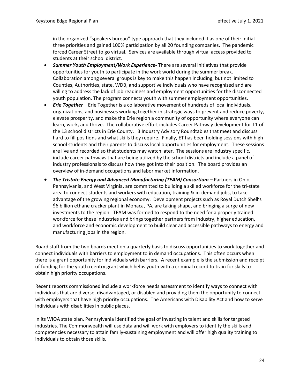in the organized "speakers bureau" type approach that they included it as one of their initial three priorities and gained 100% participation by all 20 founding companies. The pandemic forced Career Street to go virtual. Services are available through virtual access provided to students at their school district.

- *Summer Youth Employment/Work Experience-* There are several initiatives that provide opportunities for youth to participate in the work world during the summer break. Collaboration among several groups is key to make this happen including, but not limited to Counties, Authorities, state, WDB, and supportive individuals who have recognized and are willing to address the lack of job readiness and employment opportunities for the disconnected youth population. The program connects youth with summer employment opportunities.
- *Erie Together* Erie Together is a collaborative movement of hundreds of local individuals, organizations, and businesses working together in strategic ways to prevent and reduce poverty, elevate prosperity, and make the Erie region a community of opportunity where everyone can learn, work, and thrive. The collaborative effort includes Career Pathway development for 11 of the 13 school districts in Erie County. 3 Industry Advisory Roundtables that meet and discuss hard to fill positions and what skills they require. Finally, ET has been holding sessions with high school students and their parents to discuss local opportunities for employment. These sessions are live and recorded so that students may watch later. The sessions are industry specific, include career pathways that are being utilized by the school districts and include a panel of industry professionals to discuss how they got into their position. The board provides an overview of in-demand occupations and labor market information.
- *The Tristate Energy and Advanced Manufacturing (TEAM) Consortium* **–** Partners in Ohio, Pennsylvania, and West Virginia, are committed to building a skilled workforce for the tri-state area to connect students and workers with education, training & in-demand jobs, to take advantage of the growing regional economy. Development projects such as Royal Dutch Shell's \$6 billion ethane cracker plant in Monaca, PA, are taking shape, and bringing a surge of new investments to the region. TEAM was formed to respond to the need for a properly trained workforce for these industries and brings together partners from industry, higher education, and workforce and economic development to build clear and accessible pathways to energy and manufacturing jobs in the region.

Board staff from the two boards meet on a quarterly basis to discuss opportunities to work together and connect individuals with barriers to employment to in demand occupations. This often occurs when there is a grant opportunity for individuals with barriers. A recent example is the submission and receipt of funding for the youth reentry grant which helps youth with a criminal record to train for skills to obtain high priority occupations.

Recent reports commissioned include a workforce needs assessment to identify ways to connect with individuals that are diverse, disadvantaged, or disabled and providing them the opportunity to connect with employers that have high priority occupations. The Americans with Disability Act and how to serve individuals with disabilities in public places.

In its WIOA state plan, Pennsylvania identified the goal of investing in talent and skills for targeted industries. The Commonwealth will use data and will work with employers to identify the skills and competencies necessary to attain family-sustaining employment and will offer high quality training to individuals to obtain those skills.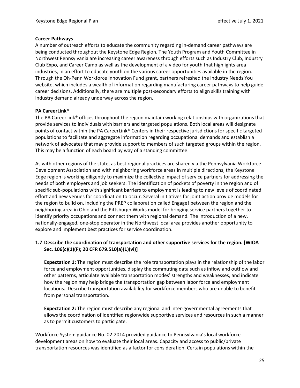#### **Career Pathways**

A number of outreach efforts to educate the community regarding in-demand career pathways are being conducted throughout the Keystone Edge Region. The Youth Program and Youth Committee in Northwest Pennsylvania are increasing career awareness through efforts such as Industry Club, Industry Club Expo, and Career Camp as well as the development of a video for youth that highlights area industries, in an effort to educate youth on the various career opportunities available in the region. Through the Oh-Penn Workforce Innovation Fund grant, partners refreshed the Industry Needs You website, which includes a wealth of information regarding manufacturing career pathways to help guide career decisions. Additionally, there are multiple post-secondary efforts to align skills training with industry demand already underway across the region.

#### **PA CareerLink®**

The PA CareerLink® offices throughout the region maintain working relationships with organizations that provide services to individuals with barriers and targeted populations. Both local areas will designate points of contact within the PA CareerLink® Centers in their respective jurisdictions for specific targeted populations to facilitate and aggregate information regarding occupational demands and establish a network of advocates that may provide support to members of such targeted groups within the region. This may be a function of each board by way of a standing committee.

As with other regions of the state, as best regional practices are shared via the Pennsylvania Workforce Development Association and with neighboring workforce areas in multiple directions, the Keystone Edge region is working diligently to maximize the collective impact of service partners for addressing the needs of both employers and job seekers. The identification of pockets of poverty in the region and of specific sub-populations with significant barriers to employment is leading to new levels of coordinated effort and new venues for coordination to occur. Several initiatives for joint action provide models for the region to build on, including the PREP collaboration called Engage! between the region and the neighboring area in Ohio and the Pittsburgh Works model for bringing service partners together to identify priority occupations and connect them with regional demand. The introduction of a new, nationally-engaged, one-stop operator in the Northwest local area provides another opportunity to explore and implement best practices for service coordination.

#### **1.7 Describe the coordination of transportation and other supportive services for the region. [WIOA Sec. 106(c)(1)(F); 20 CFR 679.510(a)(1)(vi)]**

**Expectation 1:** The region must describe the role transportation plays in the relationship of the labor force and employment opportunities, display the commuting data such as inflow and outflow and other patterns, articulate available transportation modes' strengths and weaknesses, and indicate how the region may help bridge the transportation gap between labor force and employment locations. Describe transportation availability for workforce members who are unable to benefit from personal transportation.

**Expectation 2:** The region must describe any regional and inter-governmental agreements that allows the coordination of identified regionwide supportive services and resources in such a manner as to permit customers to participate.

Workforce System guidance No. 02-2014 provided guidance to Pennsylvania's local workforce development areas on how to evaluate their local areas. Capacity and access to public/private transportation resources was identified as a factor for consideration. Certain populations within the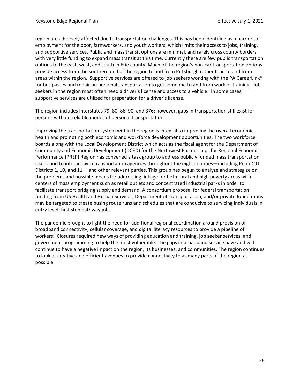region are adversely affected due to transportation challenges. This has been identified as a barrier to employment for the poor, farmworkers, and youth workers, which limits their access to jobs, training, and supportive services. Public and mass transit options are minimal, and rarely cross county borders with very little funding to expand mass transit at this time. Currently there are few public transportation options to the east, west, and south in Erie county. Much of the region's non-car transportation options provide access from the southern end of the region to and from Pittsburgh rather than to and from areas within the region. Supportive services are offered to job seekers working with the PA CareerLink® for bus passes and repair on personal transportation to get someone to and from work or training. Job seekers in the region most often need a driver's license and access to a vehicle. In some cases, supportive services are utilized for preparation for a driver's license.

The region includes Interstates 79, 80, 86, 90, and 376; however, gaps in transportation still exist for persons without reliable modes of personal transportation.

Improving the transportation system within the region is integral to improving the overall economic health and promoting both economic and workforce development opportunities. The two workforce boards along with the Local Development District which acts as the fiscal agent for the Department of Community and Economic Development (DCED) for the Northwest Partnerships for Regional Economic Performance (PREP) Region has convened a task group to address publicly funded mass transportation issues and to interact with transportation agencies throughout the eight counties—including PennDOT Districts 1, 10, and 11 —and other relevant parties. This group has begun to analyze and strategize on the problems and possible means for addressing linkage for both rural and high poverty areas with centers of mass employment such as retail outlets and concentrated industrial parks in order to facilitate transport bridging supply and demand. A consortium proposal for federal transportation funding from US Health and Human Services, Department of Transportation, and/or private foundations may be targeted to create busing route runs and schedules that are conducive to servicing individuals in entry level, first step pathway jobs.

The pandemic brought to light the need for additional regional coordination around provision of broadband connectivity, cellular coverage, and digital literacy resources to provide a pipeline of workers. Closures required new ways of providing education and training, job seeker services, and government programming to help the most vulnerable. The gaps in broadband service have and will continue to have a negative impact on the region, its businesses, and communities. The region continues to look at creative and efficient avenues to provide connectivity to as many parts of the region as possible.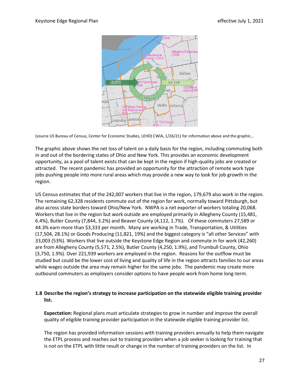

(source US Bureau of Census, Center for Economic Studies, LEHD) CWIA, 1/26/21) for information above and the graphic...

The graphic above shows the net loss of talent on a daily basis for the region, including commuting both in and out of the bordering states of Ohio and New York. This provides an economic development opportunity, as a pool of talent exists that can be kept in the region if high-quality jobs are created or attracted. The recent pandemic has provided an opportunity for the attraction of remote work type jobs pushing people into more rural areas which may provide a new way to look for job growth in the region.

US Census estimates that of the 242,007 workers that live in the region, 179,679 also work in the region. The remaining 62,328 residents commute out of the region for work, normally toward Pittsburgh, but also across state borders toward Ohio/New York. NWPA is a net exporter of workers totaling 20,068. Workers that live in the region but work outside are employed primarily in Allegheny County (15,481, 6.4%), Butler County (7,844, 3.2%) and Beaver County (4,112, 1.7%). Of these commuters 27,589 or 44.3% earn more than \$3,333 per month. Many are working in Trade, Transportation, & Utilities (17,504, 28.1%) or Goods Producing (11,821, 19%) and the biggest category is "all other Services" with 33,003 (53%). Workers that live outside the Keystone Edge Region and commute in for work (42,260) are from Allegheny County (5,571, 2.5%), Butler County (4,250, 1.9%), and Trumbull County, Ohio (3,750, 1.9%). Over 221,939 workers are employed in the region. Reasons for the outflow must be studied but could be the lower cost of living and quality of life in the region attracts families to our areas while wages outside the area may remain higher for the same jobs. The pandemic may create more outbound commuters as employers consider options to have people work from home long-term.

#### **1.8 Describe the region's strategy to increase participation on the statewide eligible training provider list.**

**Expectation:** Regional plans must articulate strategies to grow in number and improve the overall quality of eligible training provider participation in the statewide eligible training provider list.

The region has provided information sessions with training providers annually to help them navigate the ETPL process and reaches out to training providers when a job seeker is looking for training that is not on the ETPL with little result or change in the number of training providers on the list. In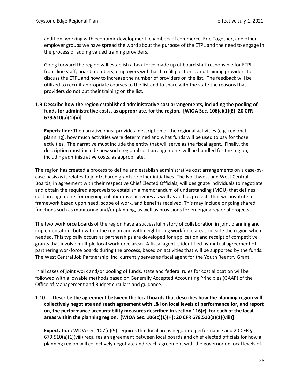addition, working with economic development, chambers of commerce, Erie Together, and other employer groups we have spread the word about the purpose of the ETPL and the need to engage in the process of adding valued training providers.

Going forward the region will establish a task force made up of board staff responsible for ETPL, front-line staff, board members, employers with hard to fill positions, and training providers to discuss the ETPL and how to increase the number of providers on the list. The feedback will be utilized to recruit appropriate courses to the list and to share with the state the reasons that providers do not put their training on the list.

#### **1.9 Describe how the region established administrative cost arrangements, including the pooling of funds for administrative costs, as appropriate, for the region. [WIOA Sec. 106(c)(1)(E); 20 CFR 679.510(a)(1)(v)]**

**Expectation:** The narrative must provide a description of the regional activities (e.g. regional planning), how much activities were determined and what funds will be used to pay for those activities. The narrative must include the entity that will serve as the fiscal agent. Finally, the description must include how such regional cost arrangements will be handled for the region, including administrative costs, as appropriate.

The region has created a process to define and establish administrative cost arrangements on a case-bycase basis as it relates to joint/shared grants or other initiatives. The Northwest and West Central Boards, in agreement with their respective Chief Elected Officials, will designate individuals to negotiate and obtain the required approvals to establish a memorandum of understanding (MOU) that defines cost arrangements for ongoing collaborative activities as well as ad hoc projects that will institute a framework based upon need, scope of work, and benefits received. This may include ongoing shared functions such as monitoring and/or planning, as well as provisions for emerging regional projects.

The two workforce boards of the region have a successful history of collaboration in joint planning and implementation, both within the region and with neighboring workforce areas outside the region when needed. This typically occurs as partnerships are developed for application and receipt of competitive grants that involve multiple local workforce areas. A fiscal agent is identified by mutual agreement of partnering workforce boards during the process, based on activities that will be supported by the funds. The West Central Job Partnership, Inc. currently serves as fiscal agent for the Youth Reentry Grant.

In all cases of joint work and/or pooling of funds, state and federal rules for cost allocation will be followed with allowable methods based on Generally Accepted Accounting Principles (GAAP) of the Office of Management and Budget circulars and guidance.

**1.10 Describe the agreement between the local boards that describes how the planning region will collectively negotiate and reach agreement with L&I on local levels of performance for, and report on, the performance accountability measures described in section 116(c), for each of the local areas within the planning region. [WIOA Sec. 106(c)(1)(H); 20 CFR 679.510(a)(1)(viii)]**

**Expectation:** WIOA sec. 107(d)(9) requires that local areas negotiate performance and 20 CFR § 679.510(a)(1)(viii) requires an agreement between local boards and chief elected officials for how a planning region will collectively negotiate and reach agreement with the governor on local levels of